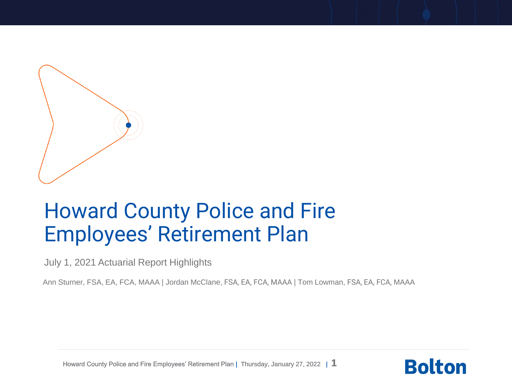

## Howard County Police and Fire Employees' Retirement Plan

July 1, 2021 Actuarial Report Highlights

Ann Sturner, FSA, EA, FCA, MAAA | Jordan McClane, FSA, EA, FCA, MAAA | Tom Lowman, FSA, EA, FCA, MAAA



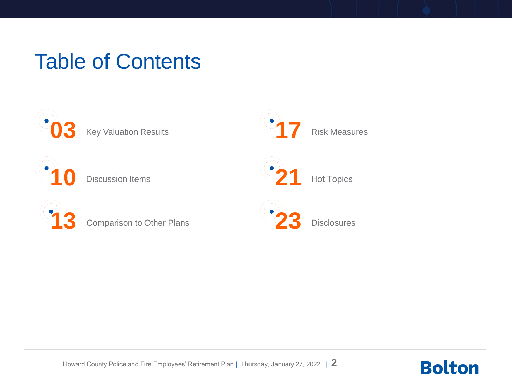## Table of Contents



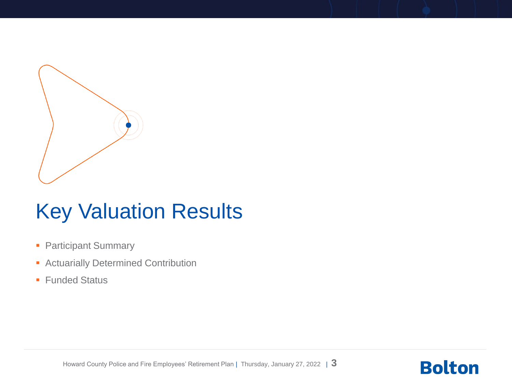

## Key Valuation Results

- **Participant Summary**
- **EXECUTE: Actuarially Determined Contribution**
- Funded Status

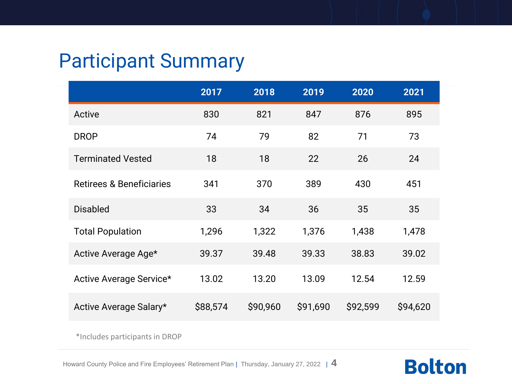#### Participant Summary

|                                     | 2017     | 2018     | 2019     | 2020     | 2021     |
|-------------------------------------|----------|----------|----------|----------|----------|
| Active                              | 830      | 821      | 847      | 876      | 895      |
| <b>DROP</b>                         | 74       | 79       | 82       | 71       | 73       |
| <b>Terminated Vested</b>            | 18       | 18       | 22       | 26       | 24       |
| <b>Retirees &amp; Beneficiaries</b> | 341      | 370      | 389      | 430      | 451      |
| <b>Disabled</b>                     | 33       | 34       | 36       | 35       | 35       |
| <b>Total Population</b>             | 1,296    | 1,322    | 1,376    | 1,438    | 1,478    |
| Active Average Age*                 | 39.37    | 39.48    | 39.33    | 38.83    | 39.02    |
| Active Average Service*             | 13.02    | 13.20    | 13.09    | 12.54    | 12.59    |
| Active Average Salary*              | \$88,574 | \$90,960 | \$91,690 | \$92,599 | \$94,620 |

\*Includes participants in DROP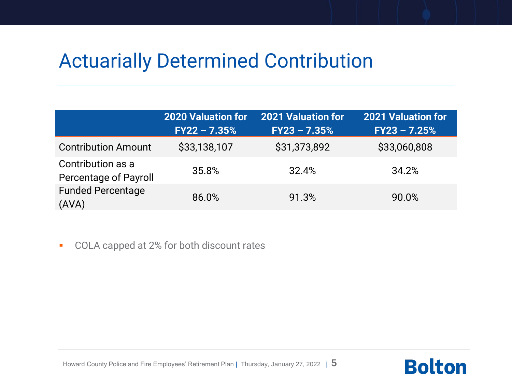### Actuarially Determined Contribution

|                                                   | <b>2020 Valuation for</b> | <b>2021 Valuation for</b> | <b>2021 Valuation for</b> |
|---------------------------------------------------|---------------------------|---------------------------|---------------------------|
|                                                   | $FY22 - 7.35%$            | $FY23 - 7.35%$            | $FY23 - 7.25%$            |
| <b>Contribution Amount</b>                        | \$33,138,107              | \$31,373,892              | \$33,060,808              |
| Contribution as a<br><b>Percentage of Payroll</b> | 35.8%                     | 32.4%                     | 34.2%                     |
| <b>Funded Percentage</b><br>(AVA)                 | 86.0%                     | 91.3%                     | 90.0%                     |

■ COLA capped at 2% for both discount rates

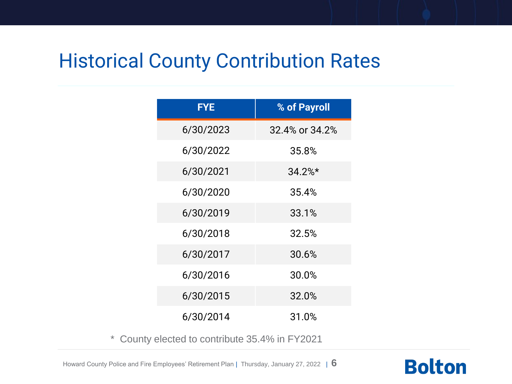#### Historical County Contribution Rates

| <b>FYE</b> | % of Payroll   |
|------------|----------------|
| 6/30/2023  | 32.4% or 34.2% |
| 6/30/2022  | 35.8%          |
| 6/30/2021  | 34.2%*         |
| 6/30/2020  | 35.4%          |
| 6/30/2019  | 33.1%          |
| 6/30/2018  | 32.5%          |
| 6/30/2017  | 30.6%          |
| 6/30/2016  | 30.0%          |
| 6/30/2015  | 32.0%          |
| 6/30/2014  | 31.0%          |

\* County elected to contribute 35.4% in FY2021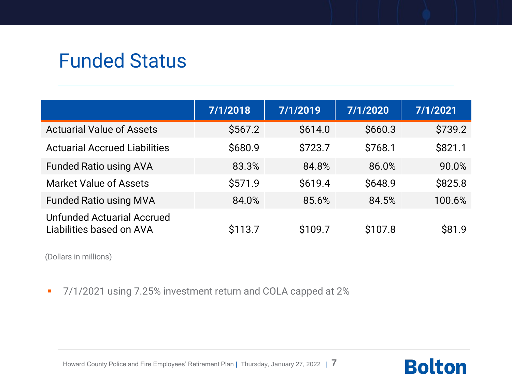#### Funded Status

|                                                               | 7/1/2018 | 7/1/2019 | 7/1/2020 | 7/1/2021 |
|---------------------------------------------------------------|----------|----------|----------|----------|
| <b>Actuarial Value of Assets</b>                              | \$567.2  | \$614.0  | \$660.3  | \$739.2  |
| <b>Actuarial Accrued Liabilities</b>                          | \$680.9  | \$723.7  | \$768.1  | \$821.1  |
| <b>Funded Ratio using AVA</b>                                 | 83.3%    | 84.8%    | 86.0%    | 90.0%    |
| <b>Market Value of Assets</b>                                 | \$571.9  | \$619.4  | \$648.9  | \$825.8  |
| <b>Funded Ratio using MVA</b>                                 | 84.0%    | 85.6%    | 84.5%    | 100.6%   |
| <b>Unfunded Actuarial Accrued</b><br>Liabilities based on AVA | \$113.7  | \$109.7  | \$107.8  | \$81.9   |

(Dollars in millions)

■ 7/1/2021 using 7.25% investment return and COLA capped at 2%

Howard County Police and Fire Employees' Retirement Plan | Thursday, January 27, 2022 <sup>|</sup>**7**

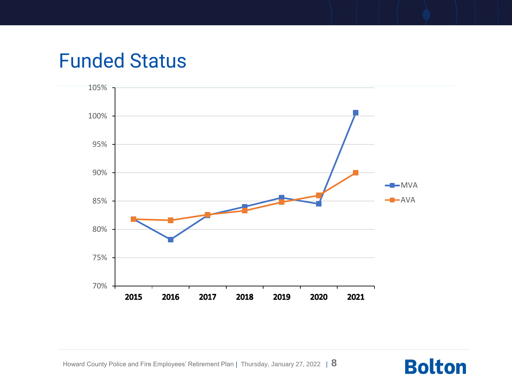#### Funded Status

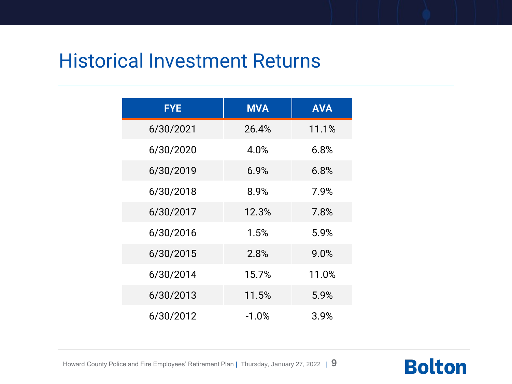#### Historical Investment Returns

| <b>FYE</b> | <b>MVA</b> | <b>AVA</b> |
|------------|------------|------------|
| 6/30/2021  | 26.4%      | 11.1%      |
| 6/30/2020  | 4.0%       | 6.8%       |
| 6/30/2019  | 6.9%       | 6.8%       |
| 6/30/2018  | 8.9%       | 7.9%       |
| 6/30/2017  | 12.3%      | 7.8%       |
| 6/30/2016  | 1.5%       | 5.9%       |
| 6/30/2015  | 2.8%       | 9.0%       |
| 6/30/2014  | 15.7%      | 11.0%      |
| 6/30/2013  | 11.5%      | 5.9%       |
| 6/30/2012  | $-1.0%$    | 3.9%       |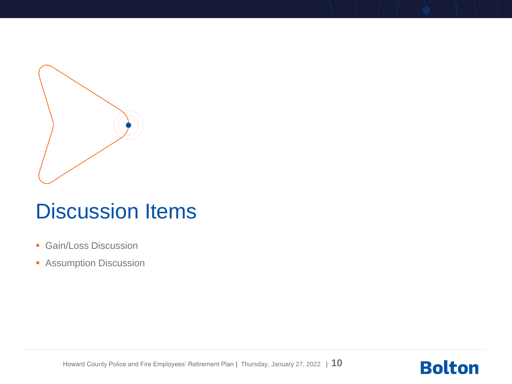

## Discussion Items

- **Gain/Loss Discussion**
- **E** Assumption Discussion

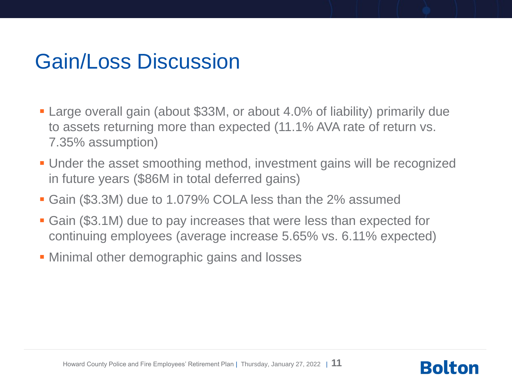## Gain/Loss Discussion

- Large overall gain (about \$33M, or about 4.0% of liability) primarily due to assets returning more than expected (11.1% AVA rate of return vs. 7.35% assumption)
- **.** Under the asset smoothing method, investment gains will be recognized in future years (\$86M in total deferred gains)
- Gain (\$3.3M) due to 1.079% COLA less than the 2% assumed
- Gain (\$3.1M) due to pay increases that were less than expected for continuing employees (average increase 5.65% vs. 6.11% expected)
- **.** Minimal other demographic gains and losses

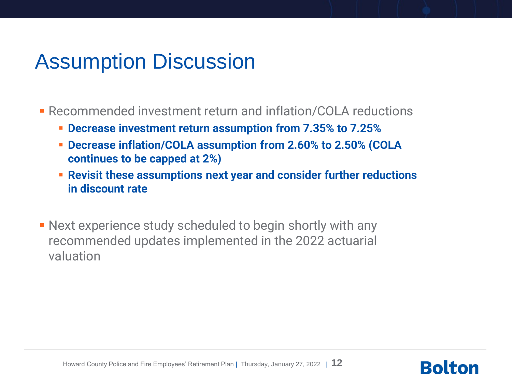## Assumption Discussion

**EXECOMMENDED INVESTMENT RETAINT AND INFIRENT PROPERTY REPAIRING PROPERTY REPAIRING PROPERTY RETAILER** 

- **Decrease investment return assumption from 7.35% to 7.25%**
- **Decrease inflation/COLA assumption from 2.60% to 2.50% (COLA continues to be capped at 2%)**
- **Revisit these assumptions next year and consider further reductions in discount rate**
- **Next experience study scheduled to begin shortly with any** recommended updates implemented in the 2022 actuarial valuation

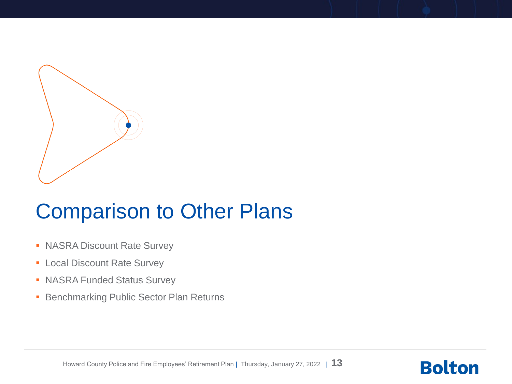

## Comparison to Other Plans

- NASRA Discount Rate Survey
- **Exercise Local Discount Rate Survey**
- NASRA Funded Status Survey
- **EXECTA:** Benchmarking Public Sector Plan Returns

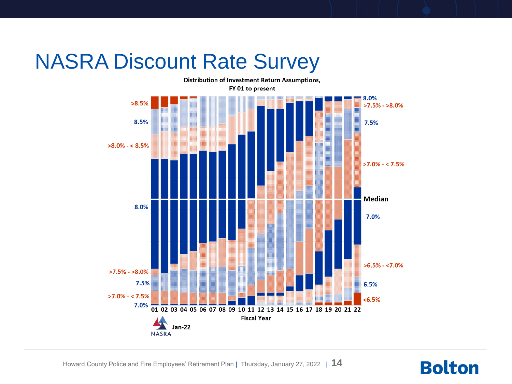## NASRA Discount Rate Survey

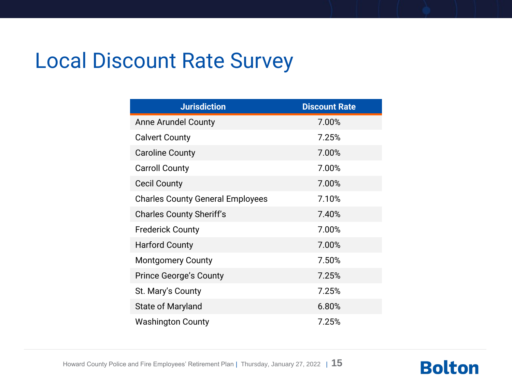## Local Discount Rate Survey

| <b>Jurisdiction</b>                     | <b>Discount Rate</b> |
|-----------------------------------------|----------------------|
| <b>Anne Arundel County</b>              | 7.00%                |
| <b>Calvert County</b>                   | 7.25%                |
| <b>Caroline County</b>                  | 7.00%                |
| <b>Carroll County</b>                   | 7.00%                |
| <b>Cecil County</b>                     | 7.00%                |
| <b>Charles County General Employees</b> | 7.10%                |
| <b>Charles County Sheriff's</b>         | 7.40%                |
| <b>Frederick County</b>                 | 7.00%                |
| <b>Harford County</b>                   | 7.00%                |
| <b>Montgomery County</b>                | 7.50%                |
| <b>Prince George's County</b>           | 7.25%                |
| St. Mary's County                       | 7.25%                |
| State of Maryland                       | 6.80%                |
| <b>Washington County</b>                | 7.25%                |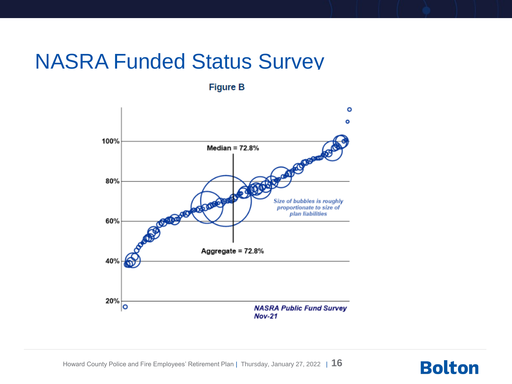#### NASRA Funded Status Survey

**Figure B** 



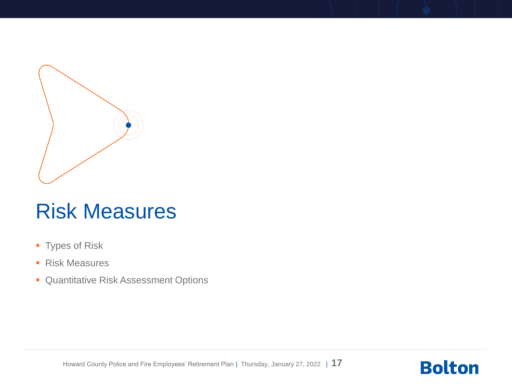

## Risk Measures

- Types of Risk
- Risk Measures
- **Quantitative Risk Assessment Options**

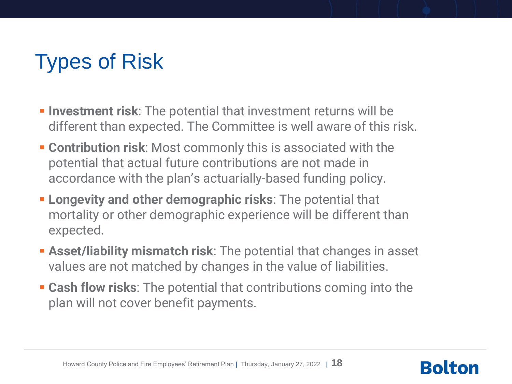# Types of Risk

- **EXTERN Investment risk:** The potential that investment returns will be different than expected. The Committee is well aware of this risk.
- **EXECONTERE:** Contribution risk: Most commonly this is associated with the potential that actual future contributions are not made in accordance with the plan's actuarially-based funding policy.
- **Example 1 Longevity and other demographic risks:** The potential that mortality or other demographic experience will be different than expected.
- **EXECT:** Asset/liability mismatch risk: The potential that changes in asset values are not matched by changes in the value of liabilities.
- **Example 1 Cash flow risks:** The potential that contributions coming into the plan will not cover benefit payments.

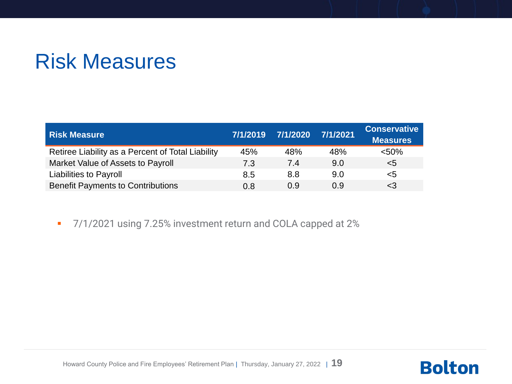## Risk Measures

| <b>Risk Measure</b>                               | 7/1/2019 | 7/1/2020 | 7/1/2021 | <b>Conservative</b><br><b>Measures</b> |
|---------------------------------------------------|----------|----------|----------|----------------------------------------|
| Retiree Liability as a Percent of Total Liability | 45%      | 48%      | 48%      | < 50%                                  |
| Market Value of Assets to Payroll                 | 7.3      | 7.4      | 9.0      | $5$                                    |
| <b>Liabilities to Payroll</b>                     | 8.5      | 8.8      | 9.0      | $\epsilon$ 5                           |
| <b>Benefit Payments to Contributions</b>          | 0.8      | 0.9      | 0.9      | $<$ 3                                  |

■ 7/1/2021 using 7.25% investment return and COLA capped at 2%

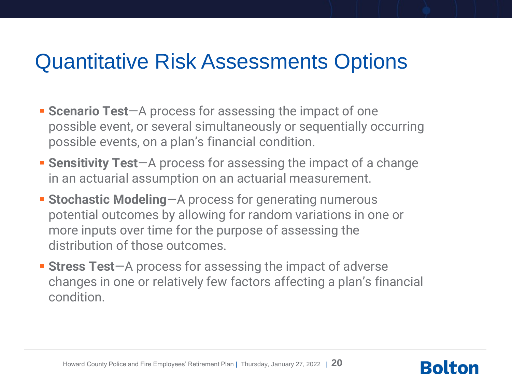## Quantitative Risk Assessments Options

- **Example 3 Scenario Test**—A process for assessing the impact of one possible event, or several simultaneously or sequentially occurring possible events, on a plan's financial condition.
- **EXERGIVE:** Sensitivity Test-A process for assessing the impact of a change in an actuarial assumption on an actuarial measurement.
- **Example 3 Stochastic Modeling-A process for generating numerous** potential outcomes by allowing for random variations in one or more inputs over time for the purpose of assessing the distribution of those outcomes.
- **EXTERE:** Stress Test-A process for assessing the impact of adverse changes in one or relatively few factors affecting a plan's financial condition.



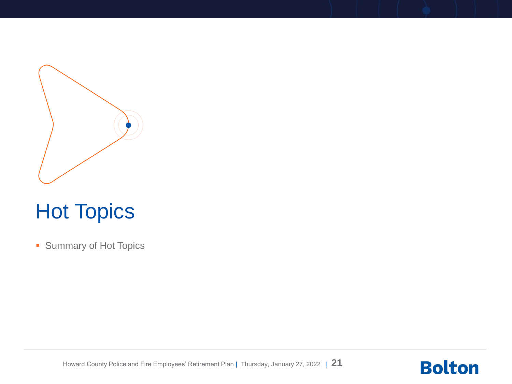

## Hot Topics

■ Summary of Hot Topics

Howard County Police and Fire Employees' Retirement Plan | Thursday, January 27, 2022 <sup>|</sup>**21**

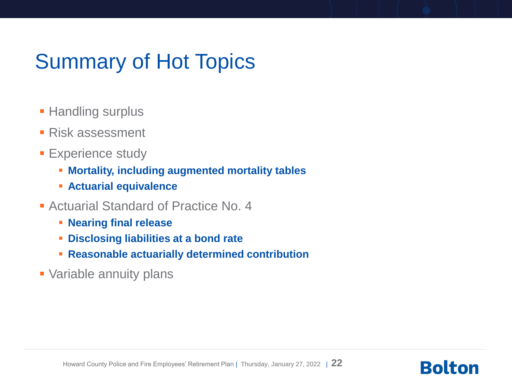## Summary of Hot Topics

- **E** Handling surplus
- Risk assessment
- **Experience study** 
	- **Mortality, including augmented mortality tables**
	- **Actuarial equivalence**
- Actuarial Standard of Practice No. 4
	- **Nearing final release**
	- **Disclosing liabilities at a bond rate**
	- **Reasonable actuarially determined contribution**
- **Variable annuity plans**

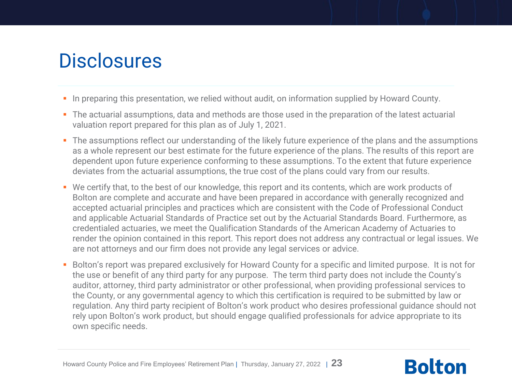### **Disclosures**

- **•** In preparing this presentation, we relied without audit, on information supplied by Howard County.
- The actuarial assumptions, data and methods are those used in the preparation of the latest actuarial valuation report prepared for this plan as of July 1, 2021.
- The assumptions reflect our understanding of the likely future experience of the plans and the assumptions as a whole represent our best estimate for the future experience of the plans. The results of this report are dependent upon future experience conforming to these assumptions. To the extent that future experience deviates from the actuarial assumptions, the true cost of the plans could vary from our results.
- We certify that, to the best of our knowledge, this report and its contents, which are work products of Bolton are complete and accurate and have been prepared in accordance with generally recognized and accepted actuarial principles and practices which are consistent with the Code of Professional Conduct and applicable Actuarial Standards of Practice set out by the Actuarial Standards Board. Furthermore, as credentialed actuaries, we meet the Qualification Standards of the American Academy of Actuaries to render the opinion contained in this report. This report does not address any contractual or legal issues. We are not attorneys and our firm does not provide any legal services or advice.
- Bolton's report was prepared exclusively for Howard County for a specific and limited purpose. It is not for the use or benefit of any third party for any purpose. The term third party does not include the County's auditor, attorney, third party administrator or other professional, when providing professional services to the County, or any governmental agency to which this certification is required to be submitted by law or regulation. Any third party recipient of Bolton's work product who desires professional guidance should not rely upon Bolton's work product, but should engage qualified professionals for advice appropriate to its own specific needs.